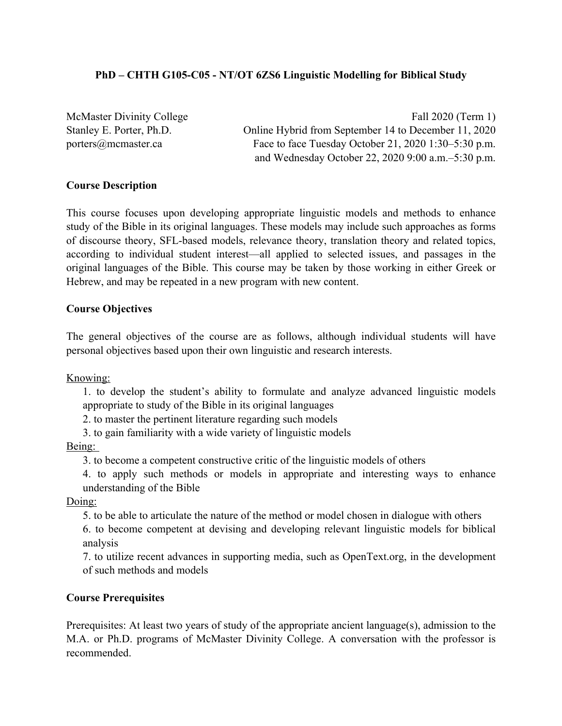# **PhD – CHTH G105-C05 - NT/OT 6ZS6 Linguistic Modelling for Biblical Study**

McMaster Divinity College Fall 2020 (Term 1) Stanley E. Porter, Ph.D. Online Hybrid from September 14 to December 11, 2020 porters@mcmaster.ca Face to face Tuesday October 21, 2020 1:30–5:30 p.m. and Wednesday October 22, 2020 9:00 a.m.–5:30 p.m.

# **Course Description**

This course focuses upon developing appropriate linguistic models and methods to enhance study of the Bible in its original languages. These models may include such approaches as forms of discourse theory, SFL-based models, relevance theory, translation theory and related topics, according to individual student interest—all applied to selected issues, and passages in the original languages of the Bible. This course may be taken by those working in either Greek or Hebrew, and may be repeated in a new program with new content.

# **Course Objectives**

The general objectives of the course are as follows, although individual students will have personal objectives based upon their own linguistic and research interests.

Knowing:

1. to develop the student's ability to formulate and analyze advanced linguistic models appropriate to study of the Bible in its original languages

2. to master the pertinent literature regarding such models

3. to gain familiarity with a wide variety of linguistic models

Being:

3. to become a competent constructive critic of the linguistic models of others

4. to apply such methods or models in appropriate and interesting ways to enhance understanding of the Bible

Doing:

5. to be able to articulate the nature of the method or model chosen in dialogue with others

6. to become competent at devising and developing relevant linguistic models for biblical analysis

7. to utilize recent advances in supporting media, such as OpenText.org, in the development of such methods and models

# **Course Prerequisites**

Prerequisites: At least two years of study of the appropriate ancient language(s), admission to the M.A. or Ph.D. programs of McMaster Divinity College. A conversation with the professor is recommended.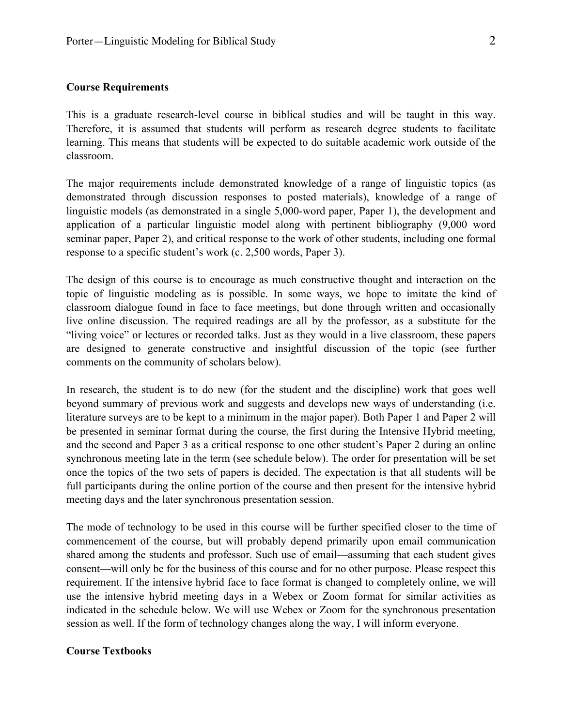This is a graduate research-level course in biblical studies and will be taught in this way. Therefore, it is assumed that students will perform as research degree students to facilitate learning. This means that students will be expected to do suitable academic work outside of the classroom.

The major requirements include demonstrated knowledge of a range of linguistic topics (as demonstrated through discussion responses to posted materials), knowledge of a range of linguistic models (as demonstrated in a single 5,000-word paper, Paper 1), the development and application of a particular linguistic model along with pertinent bibliography (9,000 word seminar paper, Paper 2), and critical response to the work of other students, including one formal response to a specific student's work (c. 2,500 words, Paper 3).

The design of this course is to encourage as much constructive thought and interaction on the topic of linguistic modeling as is possible. In some ways, we hope to imitate the kind of classroom dialogue found in face to face meetings, but done through written and occasionally live online discussion. The required readings are all by the professor, as a substitute for the "living voice" or lectures or recorded talks. Just as they would in a live classroom, these papers are designed to generate constructive and insightful discussion of the topic (see further comments on the community of scholars below).

In research, the student is to do new (for the student and the discipline) work that goes well beyond summary of previous work and suggests and develops new ways of understanding (i.e. literature surveys are to be kept to a minimum in the major paper). Both Paper 1 and Paper 2 will be presented in seminar format during the course, the first during the Intensive Hybrid meeting, and the second and Paper 3 as a critical response to one other student's Paper 2 during an online synchronous meeting late in the term (see schedule below). The order for presentation will be set once the topics of the two sets of papers is decided. The expectation is that all students will be full participants during the online portion of the course and then present for the intensive hybrid meeting days and the later synchronous presentation session.

The mode of technology to be used in this course will be further specified closer to the time of commencement of the course, but will probably depend primarily upon email communication shared among the students and professor. Such use of email—assuming that each student gives consent—will only be for the business of this course and for no other purpose. Please respect this requirement. If the intensive hybrid face to face format is changed to completely online, we will use the intensive hybrid meeting days in a Webex or Zoom format for similar activities as indicated in the schedule below. We will use Webex or Zoom for the synchronous presentation session as well. If the form of technology changes along the way, I will inform everyone.

## **Course Textbooks**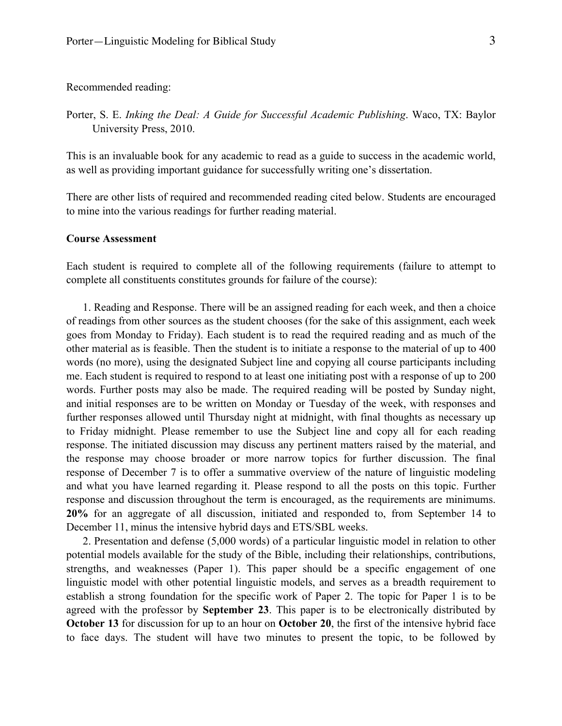Recommended reading:

Porter, S. E. *Inking the Deal: A Guide for Successful Academic Publishing*. Waco, TX: Baylor University Press, 2010.

This is an invaluable book for any academic to read as a guide to success in the academic world, as well as providing important guidance for successfully writing one's dissertation.

There are other lists of required and recommended reading cited below. Students are encouraged to mine into the various readings for further reading material.

#### **Course Assessment**

Each student is required to complete all of the following requirements (failure to attempt to complete all constituents constitutes grounds for failure of the course):

1. Reading and Response. There will be an assigned reading for each week, and then a choice of readings from other sources as the student chooses (for the sake of this assignment, each week goes from Monday to Friday). Each student is to read the required reading and as much of the other material as is feasible. Then the student is to initiate a response to the material of up to 400 words (no more), using the designated Subject line and copying all course participants including me. Each student is required to respond to at least one initiating post with a response of up to 200 words. Further posts may also be made. The required reading will be posted by Sunday night, and initial responses are to be written on Monday or Tuesday of the week, with responses and further responses allowed until Thursday night at midnight, with final thoughts as necessary up to Friday midnight. Please remember to use the Subject line and copy all for each reading response. The initiated discussion may discuss any pertinent matters raised by the material, and the response may choose broader or more narrow topics for further discussion. The final response of December 7 is to offer a summative overview of the nature of linguistic modeling and what you have learned regarding it. Please respond to all the posts on this topic. Further response and discussion throughout the term is encouraged, as the requirements are minimums. **20%** for an aggregate of all discussion, initiated and responded to, from September 14 to December 11, minus the intensive hybrid days and ETS/SBL weeks.

2. Presentation and defense (5,000 words) of a particular linguistic model in relation to other potential models available for the study of the Bible, including their relationships, contributions, strengths, and weaknesses (Paper 1). This paper should be a specific engagement of one linguistic model with other potential linguistic models, and serves as a breadth requirement to establish a strong foundation for the specific work of Paper 2. The topic for Paper 1 is to be agreed with the professor by **September 23**. This paper is to be electronically distributed by **October 13** for discussion for up to an hour on **October 20**, the first of the intensive hybrid face to face days. The student will have two minutes to present the topic, to be followed by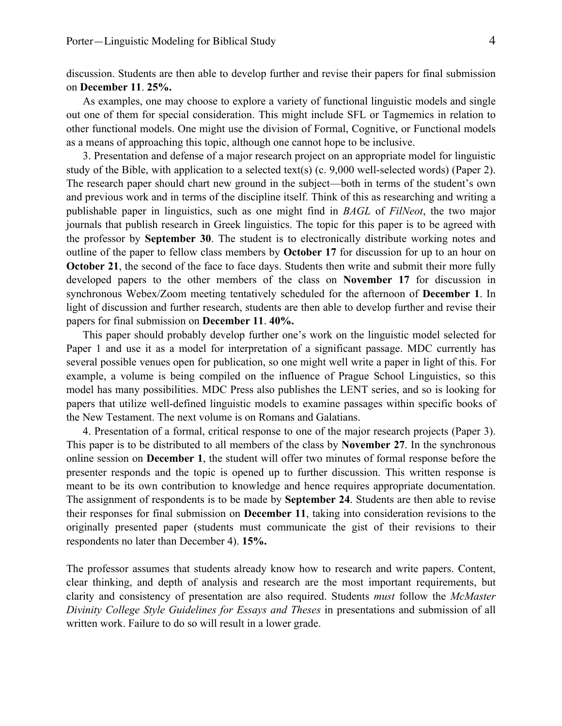discussion. Students are then able to develop further and revise their papers for final submission on **December 11**. **25%.**

As examples, one may choose to explore a variety of functional linguistic models and single out one of them for special consideration. This might include SFL or Tagmemics in relation to other functional models. One might use the division of Formal, Cognitive, or Functional models as a means of approaching this topic, although one cannot hope to be inclusive.

3. Presentation and defense of a major research project on an appropriate model for linguistic study of the Bible, with application to a selected text(s) (c. 9,000 well-selected words) (Paper 2). The research paper should chart new ground in the subject—both in terms of the student's own and previous work and in terms of the discipline itself. Think of this as researching and writing a publishable paper in linguistics, such as one might find in *BAGL* of *FilNeot*, the two major journals that publish research in Greek linguistics. The topic for this paper is to be agreed with the professor by **September 30**. The student is to electronically distribute working notes and outline of the paper to fellow class members by **October 17** for discussion for up to an hour on **October 21,** the second of the face to face days. Students then write and submit their more fully developed papers to the other members of the class on **November 17** for discussion in synchronous Webex/Zoom meeting tentatively scheduled for the afternoon of **December 1**. In light of discussion and further research, students are then able to develop further and revise their papers for final submission on **December 11**. **40%.**

This paper should probably develop further one's work on the linguistic model selected for Paper 1 and use it as a model for interpretation of a significant passage. MDC currently has several possible venues open for publication, so one might well write a paper in light of this. For example, a volume is being compiled on the influence of Prague School Linguistics, so this model has many possibilities. MDC Press also publishes the LENT series, and so is looking for papers that utilize well-defined linguistic models to examine passages within specific books of the New Testament. The next volume is on Romans and Galatians.

4. Presentation of a formal, critical response to one of the major research projects (Paper 3). This paper is to be distributed to all members of the class by **November 27**. In the synchronous online session on **December 1**, the student will offer two minutes of formal response before the presenter responds and the topic is opened up to further discussion. This written response is meant to be its own contribution to knowledge and hence requires appropriate documentation. The assignment of respondents is to be made by **September 24**. Students are then able to revise their responses for final submission on **December 11**, taking into consideration revisions to the originally presented paper (students must communicate the gist of their revisions to their respondents no later than December 4). **15%.**

The professor assumes that students already know how to research and write papers. Content, clear thinking, and depth of analysis and research are the most important requirements, but clarity and consistency of presentation are also required. Students *must* follow the *McMaster Divinity College Style Guidelines for Essays and Theses* in presentations and submission of all written work. Failure to do so will result in a lower grade.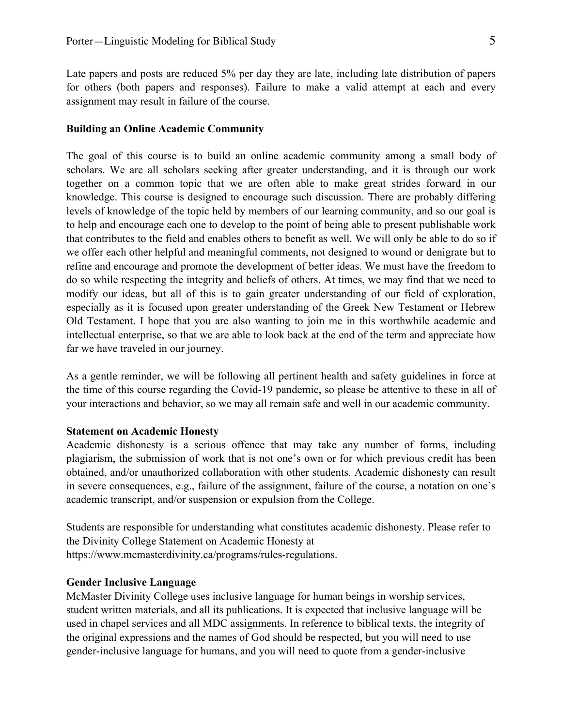Late papers and posts are reduced 5% per day they are late, including late distribution of papers for others (both papers and responses). Failure to make a valid attempt at each and every assignment may result in failure of the course.

#### **Building an Online Academic Community**

The goal of this course is to build an online academic community among a small body of scholars. We are all scholars seeking after greater understanding, and it is through our work together on a common topic that we are often able to make great strides forward in our knowledge. This course is designed to encourage such discussion. There are probably differing levels of knowledge of the topic held by members of our learning community, and so our goal is to help and encourage each one to develop to the point of being able to present publishable work that contributes to the field and enables others to benefit as well. We will only be able to do so if we offer each other helpful and meaningful comments, not designed to wound or denigrate but to refine and encourage and promote the development of better ideas. We must have the freedom to do so while respecting the integrity and beliefs of others. At times, we may find that we need to modify our ideas, but all of this is to gain greater understanding of our field of exploration, especially as it is focused upon greater understanding of the Greek New Testament or Hebrew Old Testament. I hope that you are also wanting to join me in this worthwhile academic and intellectual enterprise, so that we are able to look back at the end of the term and appreciate how far we have traveled in our journey.

As a gentle reminder, we will be following all pertinent health and safety guidelines in force at the time of this course regarding the Covid-19 pandemic, so please be attentive to these in all of your interactions and behavior, so we may all remain safe and well in our academic community.

### **Statement on Academic Honesty**

Academic dishonesty is a serious offence that may take any number of forms, including plagiarism, the submission of work that is not one's own or for which previous credit has been obtained, and/or unauthorized collaboration with other students. Academic dishonesty can result in severe consequences, e.g., failure of the assignment, failure of the course, a notation on one's academic transcript, and/or suspension or expulsion from the College.

Students are responsible for understanding what constitutes academic dishonesty. Please refer to the Divinity College Statement on Academic Honesty at https://www.mcmasterdivinity.ca/programs/rules-regulations.

## **Gender Inclusive Language**

McMaster Divinity College uses inclusive language for human beings in worship services, student written materials, and all its publications. It is expected that inclusive language will be used in chapel services and all MDC assignments. In reference to biblical texts, the integrity of the original expressions and the names of God should be respected, but you will need to use gender-inclusive language for humans, and you will need to quote from a gender-inclusive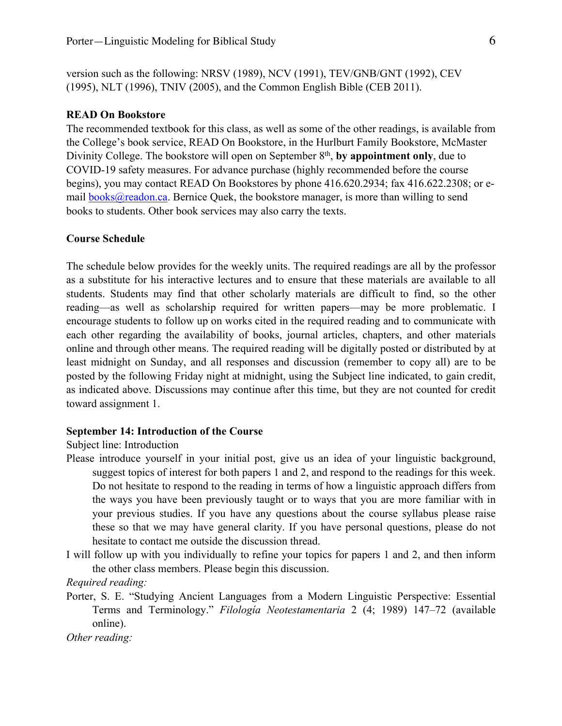version such as the following: NRSV (1989), NCV (1991), TEV/GNB/GNT (1992), CEV (1995), NLT (1996), TNIV (2005), and the Common English Bible (CEB 2011).

### **READ On Bookstore**

The recommended textbook for this class, as well as some of the other readings, is available from the College's book service, READ On Bookstore, in the Hurlburt Family Bookstore, McMaster Divinity College. The bookstore will open on September 8<sup>th</sup>, by appointment only, due to COVID-19 safety measures. For advance purchase (highly recommended before the course begins), you may contact READ On Bookstores by phone 416.620.2934; fax 416.622.2308; or email books@readon.ca. Bernice Quek, the bookstore manager, is more than willing to send books to students. Other book services may also carry the texts.

# **Course Schedule**

The schedule below provides for the weekly units. The required readings are all by the professor as a substitute for his interactive lectures and to ensure that these materials are available to all students. Students may find that other scholarly materials are difficult to find, so the other reading—as well as scholarship required for written papers—may be more problematic. I encourage students to follow up on works cited in the required reading and to communicate with each other regarding the availability of books, journal articles, chapters, and other materials online and through other means. The required reading will be digitally posted or distributed by at least midnight on Sunday, and all responses and discussion (remember to copy all) are to be posted by the following Friday night at midnight, using the Subject line indicated, to gain credit, as indicated above. Discussions may continue after this time, but they are not counted for credit toward assignment 1.

### **September 14: Introduction of the Course**

Subject line: Introduction

- Please introduce yourself in your initial post, give us an idea of your linguistic background, suggest topics of interest for both papers 1 and 2, and respond to the readings for this week. Do not hesitate to respond to the reading in terms of how a linguistic approach differs from the ways you have been previously taught or to ways that you are more familiar with in your previous studies. If you have any questions about the course syllabus please raise these so that we may have general clarity. If you have personal questions, please do not hesitate to contact me outside the discussion thread.
- I will follow up with you individually to refine your topics for papers 1 and 2, and then inform the other class members. Please begin this discussion.

*Required reading:* 

Porter, S. E. "Studying Ancient Languages from a Modern Linguistic Perspective: Essential Terms and Terminology." *Filología Neotestamentaria* 2 (4; 1989) 147–72 (available online).

*Other reading:*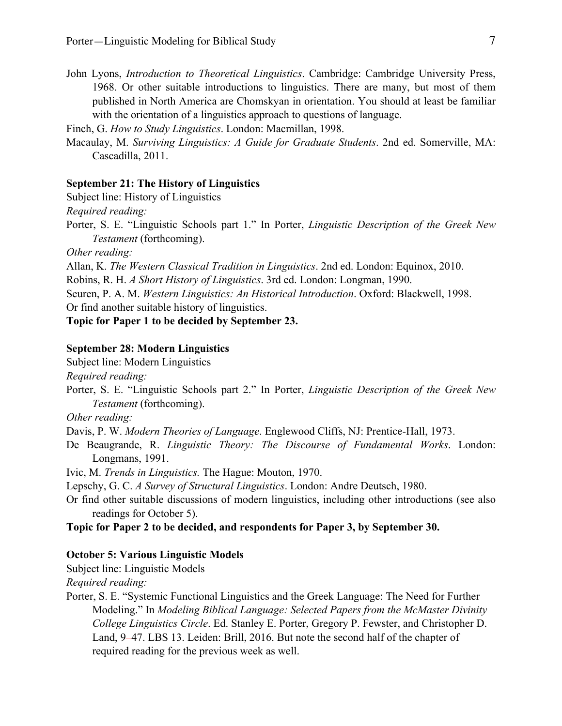John Lyons, *Introduction to Theoretical Linguistics*. Cambridge: Cambridge University Press, 1968. Or other suitable introductions to linguistics. There are many, but most of them published in North America are Chomskyan in orientation. You should at least be familiar with the orientation of a linguistics approach to questions of language.

Finch, G. *How to Study Linguistics*. London: Macmillan, 1998.

Macaulay, M. *Surviving Linguistics: A Guide for Graduate Students*. 2nd ed. Somerville, MA: Cascadilla, 2011.

## **September 21: The History of Linguistics**

Subject line: History of Linguistics

*Required reading:*

Porter, S. E. "Linguistic Schools part 1." In Porter, *Linguistic Description of the Greek New Testament* (forthcoming).

*Other reading:*

Allan, K. *The Western Classical Tradition in Linguistics*. 2nd ed. London: Equinox, 2010.

Robins, R. H. *A Short History of Linguistics*. 3rd ed. London: Longman, 1990.

Seuren, P. A. M. *Western Linguistics: An Historical Introduction*. Oxford: Blackwell, 1998.

Or find another suitable history of linguistics.

# **Topic for Paper 1 to be decided by September 23.**

## **September 28: Modern Linguistics**

Subject line: Modern Linguistics

*Required reading:*

Porter, S. E. "Linguistic Schools part 2." In Porter, *Linguistic Description of the Greek New Testament* (forthcoming).

*Other reading:*

Davis, P. W. *Modern Theories of Language*. Englewood Cliffs, NJ: Prentice-Hall, 1973.

De Beaugrande, R. *Linguistic Theory: The Discourse of Fundamental Works*. London: Longmans, 1991.

Ivic, M. *Trends in Linguistics.* The Hague: Mouton, 1970.

Lepschy, G. C. *A Survey of Structural Linguistics*. London: Andre Deutsch, 1980.

Or find other suitable discussions of modern linguistics, including other introductions (see also readings for October 5).

**Topic for Paper 2 to be decided, and respondents for Paper 3, by September 30.**

### **October 5: Various Linguistic Models**

Subject line: Linguistic Models

*Required reading:*

Porter, S. E. "Systemic Functional Linguistics and the Greek Language: The Need for Further Modeling." In *Modeling Biblical Language: Selected Papers from the McMaster Divinity College Linguistics Circle*. Ed. Stanley E. Porter, Gregory P. Fewster, and Christopher D. Land, 9–47. LBS 13. Leiden: Brill, 2016. But note the second half of the chapter of required reading for the previous week as well.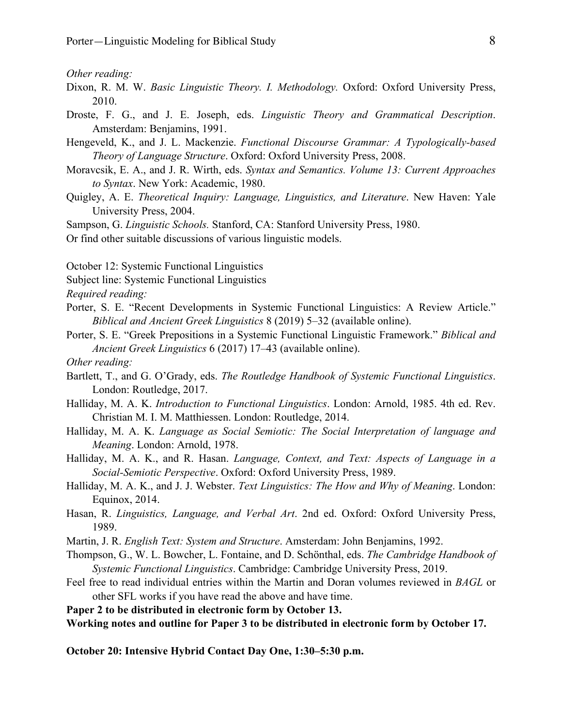*Other reading:*

- Dixon, R. M. W. *Basic Linguistic Theory. I. Methodology.* Oxford: Oxford University Press, 2010.
- Droste, F. G., and J. E. Joseph, eds. *Linguistic Theory and Grammatical Description*. Amsterdam: Benjamins, 1991.
- Hengeveld, K., and J. L. Mackenzie. *Functional Discourse Grammar: A Typologically-based Theory of Language Structure*. Oxford: Oxford University Press, 2008.
- Moravcsik, E. A., and J. R. Wirth, eds. *Syntax and Semantics. Volume 13: Current Approaches to Syntax*. New York: Academic, 1980.
- Quigley, A. E. *Theoretical Inquiry: Language, Linguistics, and Literature*. New Haven: Yale University Press, 2004.

Sampson, G. *Linguistic Schools.* Stanford, CA: Stanford University Press, 1980.

Or find other suitable discussions of various linguistic models.

October 12: Systemic Functional Linguistics

- Subject line: Systemic Functional Linguistics
- *Required reading:*
- Porter, S. E. "Recent Developments in Systemic Functional Linguistics: A Review Article." *Biblical and Ancient Greek Linguistics* 8 (2019) 5–32 (available online).
- Porter, S. E. "Greek Prepositions in a Systemic Functional Linguistic Framework." *Biblical and Ancient Greek Linguistics* 6 (2017) 17–43 (available online).
- *Other reading:*
- Bartlett, T., and G. O'Grady, eds. *The Routledge Handbook of Systemic Functional Linguistics*. London: Routledge, 2017.
- Halliday, M. A. K. *Introduction to Functional Linguistics*. London: Arnold, 1985. 4th ed. Rev. Christian M. I. M. Matthiessen. London: Routledge, 2014.
- Halliday, M. A. K. *Language as Social Semiotic: The Social Interpretation of language and Meaning*. London: Arnold, 1978.
- Halliday, M. A. K., and R. Hasan. *Language, Context, and Text: Aspects of Language in a Social-Semiotic Perspective*. Oxford: Oxford University Press, 1989.
- Halliday, M. A. K., and J. J. Webster. *Text Linguistics: The How and Why of Meaning*. London: Equinox, 2014.
- Hasan, R. *Linguistics, Language, and Verbal Art*. 2nd ed. Oxford: Oxford University Press, 1989.
- Martin, J. R. *English Text: System and Structure*. Amsterdam: John Benjamins, 1992.
- Thompson, G., W. L. Bowcher, L. Fontaine, and D. Schönthal, eds. *The Cambridge Handbook of Systemic Functional Linguistics*. Cambridge: Cambridge University Press, 2019.
- Feel free to read individual entries within the Martin and Doran volumes reviewed in *BAGL* or other SFL works if you have read the above and have time.
- **Paper 2 to be distributed in electronic form by October 13.**

**Working notes and outline for Paper 3 to be distributed in electronic form by October 17.**

**October 20: Intensive Hybrid Contact Day One, 1:30–5:30 p.m.**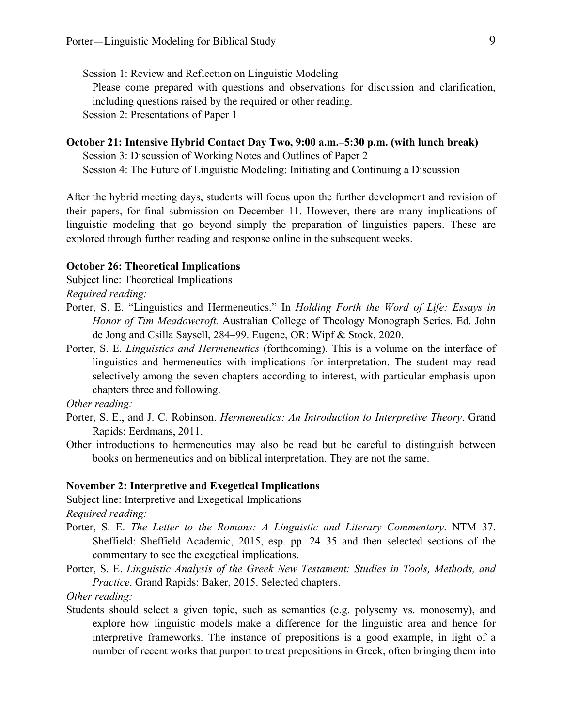Session 1: Review and Reflection on Linguistic Modeling Please come prepared with questions and observations for discussion and clarification, including questions raised by the required or other reading. Session 2: Presentations of Paper 1

# **October 21: Intensive Hybrid Contact Day Two, 9:00 a.m.–5:30 p.m. (with lunch break)**

Session 3: Discussion of Working Notes and Outlines of Paper 2 Session 4: The Future of Linguistic Modeling: Initiating and Continuing a Discussion

After the hybrid meeting days, students will focus upon the further development and revision of their papers, for final submission on December 11. However, there are many implications of linguistic modeling that go beyond simply the preparation of linguistics papers. These are explored through further reading and response online in the subsequent weeks.

#### **October 26: Theoretical Implications**

Subject line: Theoretical Implications

*Required reading:* 

- Porter, S. E. "Linguistics and Hermeneutics." In *Holding Forth the Word of Life: Essays in Honor of Tim Meadowcroft.* Australian College of Theology Monograph Series. Ed. John de Jong and Csilla Saysell, 284–99. Eugene, OR: Wipf & Stock, 2020.
- Porter, S. E. *Linguistics and Hermeneutics* (forthcoming). This is a volume on the interface of linguistics and hermeneutics with implications for interpretation. The student may read selectively among the seven chapters according to interest, with particular emphasis upon chapters three and following.

*Other reading:*

- Porter, S. E., and J. C. Robinson. *Hermeneutics: An Introduction to Interpretive Theory*. Grand Rapids: Eerdmans, 2011.
- Other introductions to hermeneutics may also be read but be careful to distinguish between books on hermeneutics and on biblical interpretation. They are not the same.

# **November 2: Interpretive and Exegetical Implications**

Subject line: Interpretive and Exegetical Implications

*Required reading:*

- Porter, S. E. *The Letter to the Romans: A Linguistic and Literary Commentary*. NTM 37. Sheffield: Sheffield Academic, 2015, esp. pp. 24–35 and then selected sections of the commentary to see the exegetical implications.
- Porter, S. E. *Linguistic Analysis of the Greek New Testament: Studies in Tools, Methods, and Practice*. Grand Rapids: Baker, 2015. Selected chapters.

*Other reading:*

Students should select a given topic, such as semantics (e.g. polysemy vs. monosemy), and explore how linguistic models make a difference for the linguistic area and hence for interpretive frameworks. The instance of prepositions is a good example, in light of a number of recent works that purport to treat prepositions in Greek, often bringing them into